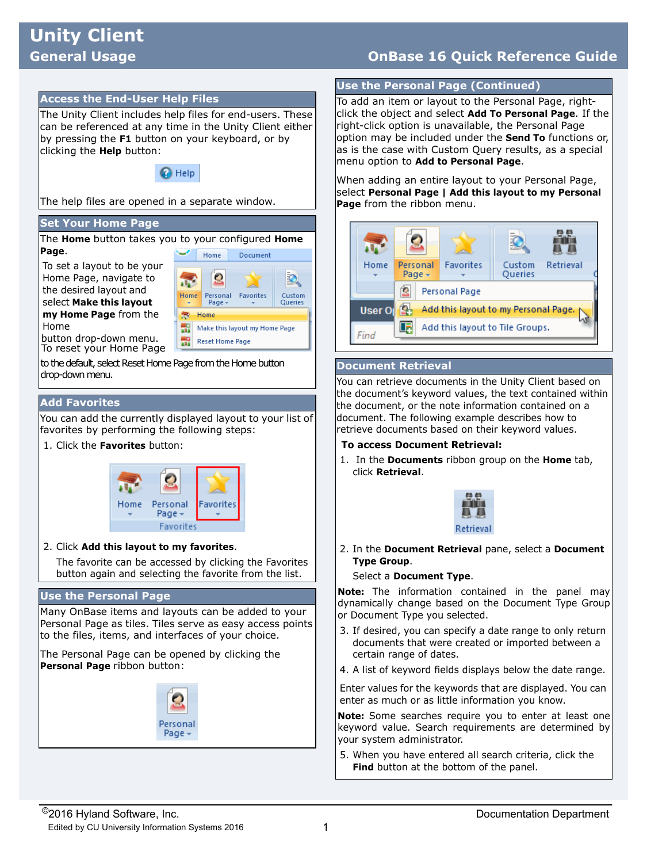# **Unity Client**

# **General Usage OnBase 16 Quick Reference Guide**

#### **Access the End-User Help Files**

The Unity Client includes help files for end-users. These can be referenced at any time in the Unity Client either by pressing the **F1** button on your keyboard, or by clicking the **Help** button:



The help files are opened in a separate window.

#### **Set Your Home Page**

The **Home** button takes you to your configured **Home Page**. Home Document

To set a layout to be your Home Page, navigate to the desired layout and select **Make this layout** 

**my Home Page** from the



button drop-down menu. To reset your Home Page

to the default, select Reset Home Page from the Home button drop-down menu.

#### **Add Favorites**

Home

You can add the currently displayed layout to your list of favorites by performing the following steps:

1. Click the **Favorites** button:



2. Click **Add this layout to my favorites**.

The favorite can be accessed by clicking the Favorites button again and selecting the favorite from the list.

#### **Use the Personal Page**

Many OnBase items and layouts can be added to your Personal Page as tiles. Tiles serve as easy access points to the files, items, and interfaces of your choice.

The Personal Page can be opened by clicking the **Personal Page** ribbon button:



#### **Use the Personal Page (Continued)**

To add an item or layout to the Personal Page, rightclick the object and select **Add To Personal Page**. If the right-click option is unavailable, the Personal Page option may be included under the **Send To** functions or, as is the case with Custom Query results, as a special menu option to **Add to Personal Page**.

When adding an entire layout to your Personal Page, select **Personal Page | Add this layout to my Personal Page** from the ribbon menu.



#### **Document Retrieval**

You can retrieve documents in the Unity Client based on the document's keyword values, the text contained within the document, or the note information contained on a document. The following example describes how to retrieve documents based on their keyword values.

#### **To access Document Retrieval:**

1. In the **Documents** ribbon group on the **Home** tab, click **Retrieval**.



2. In the **Document Retrieval** pane, select a **Document Type Group**.

Select a **Document Type**.

**Note:** The information contained in the panel may dynamically change based on the Document Type Group or Document Type you selected.

- 3. If desired, you can specify a date range to only return documents that were created or imported between a certain range of dates.
- 4. A list of keyword fields displays below the date range.

Enter values for the keywords that are displayed. You can enter as much or as little information you know.

**Note:** Some searches require you to enter at least one keyword value. Search requirements are determined by your system administrator.

5. When you have entered all search criteria, click the **Find** button at the bottom of the panel.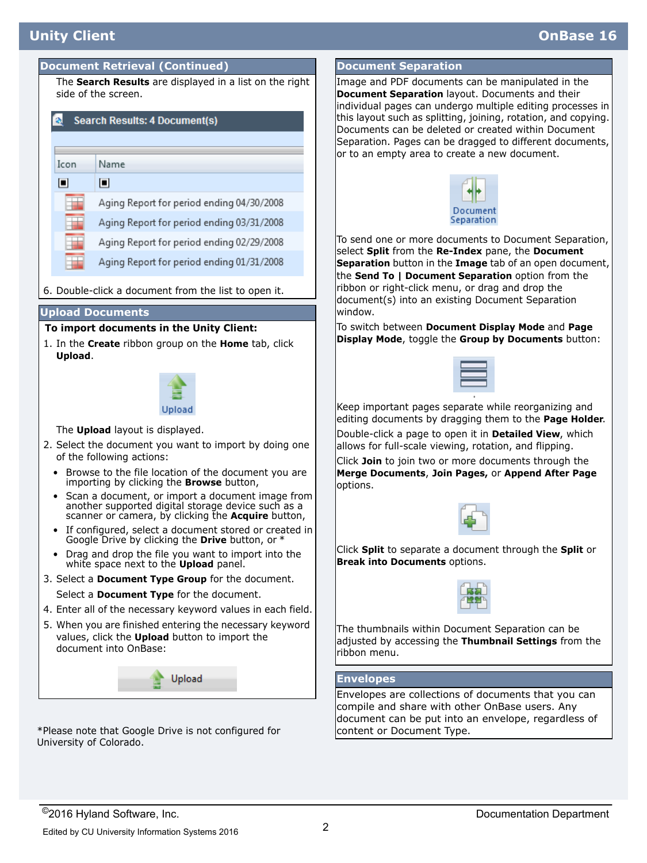## **Unity Client OnBase 16**

## **Document Retrieval (Continued) Document Separation**

The **Search Results** are displayed in a list on the right side of the screen.

## **Search Results: 4 Document(s)**

 $\Box$ 

 $\Box$ 

Name

Aging Report for period ending 04/30/2008

Aging Report for period ending 03/31/2008

Aging Report for period ending 02/29/2008

Aging Report for period ending 01/31/2008

6. Double-click a document from the list to open it.

#### **Upload Documents**

#### **To import documents in the Unity Client:**

1. In the **Create** ribbon group on the **Home** tab, click **Upload**.



The **Upload** layout is displayed.

- 2. Select the document you want to import by doing one of the following actions:
	- Browse to the file location of the document you are importing by clicking the **Browse** button,
	- Scan a document, or import a document image from another supported digital storage device such as a scanner or camera, by clicking the **Acquire** button,
	- If configured, select a document stored or created in Google Drive by clicking the **Drive** button, or \*
	- Drag and drop the file you want to import into the white space next to the **Upload** panel.
- 3. Select a **Document Type Group** for the document. Select a **Document Type** for the document.
- 4. Enter all of the necessary keyword values in each field.
- 5. When you are finished entering the necessary keyword values, click the **Upload** button to import the document into OnBase:



\*Please note that Google Drive is not configured for University of Colorado.

Image and PDF documents can be manipulated in the **Document Separation** layout. Documents and their individual pages can undergo multiple editing processes in this layout such as splitting, joining, rotation, and copying. Documents can be deleted or created within Document Separation. Pages can be dragged to different documents, or to an empty area to create a new document.



To send one or more documents to Document Separation, select **Split** from the **Re-Index** pane, the **Document Separation** button in the **Image** tab of an open document, the **Send To | Document Separation** option from the ribbon or right-click menu, or drag and drop the document(s) into an existing Document Separation window.

To switch between **Document Display Mode** and **Page Display Mode**, toggle the **Group by Documents** button:



Keep important pages separate while reorganizing and editing documents by dragging them to the **Page Holder**. Double-click a page to open it in **Detailed View**, which allows for full-scale viewing, rotation, and flipping.

Click **Join** to join two or more documents through the **Merge Documents**, **Join Pages,** or **Append After Page** options.



Click **Split** to separate a document through the **Split** or **Break into Documents** options.



The thumbnails within Document Separation can be adjusted by accessing the **Thumbnail Settings** from the ribbon menu.

#### **Envelopes**

Envelopes are collections of documents that you can compile and share with other OnBase users. Any document can be put into an envelope, regardless of content or Document Type.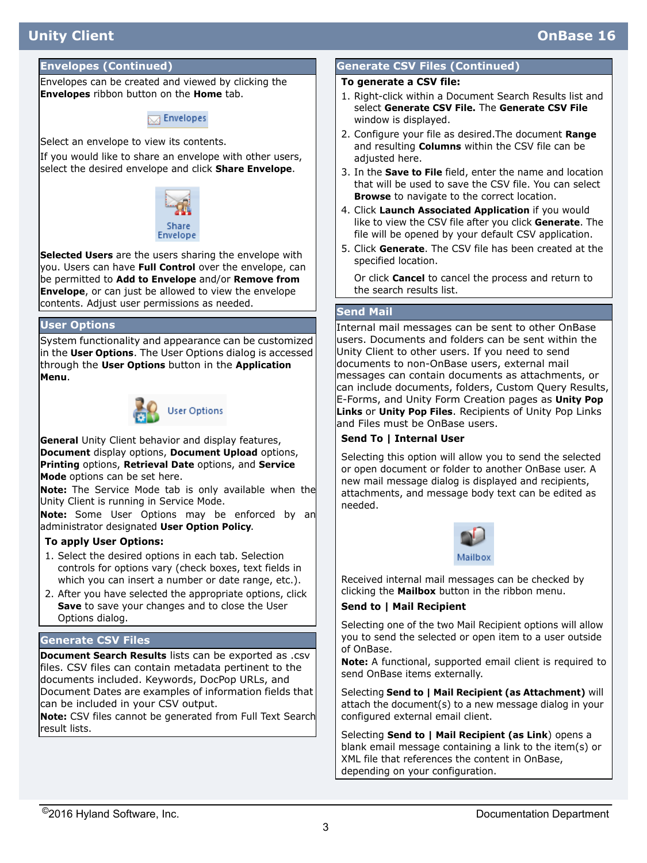# **Unity Client OnBase 16**

#### **Envelopes (Continued)**

Envelopes can be created and viewed by clicking the **Envelopes** ribbon button on the **Home** tab.



Select an envelope to view its contents.

If you would like to share an envelope with other users, select the desired envelope and click **Share Envelope**.



**Selected Users** are the users sharing the envelope with you. Users can have **Full Control** over the envelope, can be permitted to **Add to Envelope** and/or **Remove from Envelope**, or can just be allowed to view the envelope contents. Adjust user permissions as needed.

#### **User Options**

System functionality and appearance can be customized in the **User Options**. The User Options dialog is accessed through the **User Options** button in the **Application Menu**.



**General** Unity Client behavior and display features, **Document** display options, **Document Upload** options, **Printing** options, **Retrieval Date** options, and **Service Mode** options can be set here.

**Note:** The Service Mode tab is only available when the Unity Client is running in Service Mode.

**Note:** Some User Options may be enforced by an administrator designated **User Option Policy**.

#### **To apply User Options:**

- 1. Select the desired options in each tab. Selection controls for options vary (check boxes, text fields in which you can insert a number or date range, etc.).
- 2. After you have selected the appropriate options, click **Save** to save your changes and to close the User Options dialog.

#### **Generate CSV Files**

**Document Search Results** lists can be exported as .csv files. CSV files can contain metadata pertinent to the documents included. Keywords, DocPop URLs, and Document Dates are examples of information fields that can be included in your CSV output.

**Note:** CSV files cannot be generated from Full Text Search result lists.

#### **Generate CSV Files (Continued)**

#### **To generate a CSV file:**

- 1. Right-click within a Document Search Results list and select **Generate CSV File.** The **Generate CSV File** window is displayed.
- 2. Configure your file as desired.The document **Range** and resulting **Columns** within the CSV file can be adjusted here.
- 3. In the **Save to File** field, enter the name and location that will be used to save the CSV file. You can select **Browse** to navigate to the correct location.
- 4. Click **Launch Associated Application** if you would like to view the CSV file after you click **Generate**. The file will be opened by your default CSV application.
- 5. Click **Generate**. The CSV file has been created at the specified location.

Or click **Cancel** to cancel the process and return to the search results list.

#### **Send Mail**

Internal mail messages can be sent to other OnBase users. Documents and folders can be sent within the Unity Client to other users. If you need to send documents to non-OnBase users, external mail messages can contain documents as attachments, or can include documents, folders, Custom Query Results, E-Forms, and Unity Form Creation pages as **Unity Pop Links** or **Unity Pop Files**. Recipients of Unity Pop Links and Files must be OnBase users.

#### **Send To | Internal User**

Selecting this option will allow you to send the selected or open document or folder to another OnBase user. A new mail message dialog is displayed and recipients, attachments, and message body text can be edited as needed.



Received internal mail messages can be checked by clicking the **Mailbox** button in the ribbon menu.

#### **Send to | Mail Recipient**

Selecting one of the two Mail Recipient options will allow you to send the selected or open item to a user outside of OnBase.

**Note:** A functional, supported email client is required to send OnBase items externally.

Selecting **Send to | Mail Recipient (as Attachment)** will attach the document(s) to a new message dialog in your configured external email client.

Selecting **Send to | Mail Recipient (as Link**) opens a blank email message containing a link to the item(s) or XML file that references the content in OnBase, depending on your configuration.